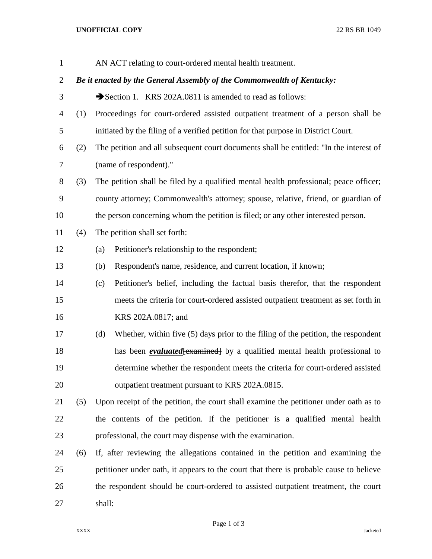## **UNOFFICIAL COPY** 22 RS BR 1049

| $\mathbf{1}$   |     |                        | AN ACT relating to court-ordered mental health treatment.                              |  |
|----------------|-----|------------------------|----------------------------------------------------------------------------------------|--|
| $\overline{2}$ |     |                        | Be it enacted by the General Assembly of the Commonwealth of Kentucky:                 |  |
| 3              |     |                        | Section 1. KRS 202A.0811 is amended to read as follows:                                |  |
| 4              | (1) |                        | Proceedings for court-ordered assisted outpatient treatment of a person shall be       |  |
| 5              |     |                        | initiated by the filing of a verified petition for that purpose in District Court.     |  |
| 6              | (2) |                        | The petition and all subsequent court documents shall be entitled: "In the interest of |  |
| 7              |     | (name of respondent)." |                                                                                        |  |
| 8              | (3) |                        | The petition shall be filed by a qualified mental health professional; peace officer;  |  |
| 9              |     |                        | county attorney; Commonwealth's attorney; spouse, relative, friend, or guardian of     |  |
| 10             |     |                        | the person concerning whom the petition is filed; or any other interested person.      |  |
| 11             | (4) |                        | The petition shall set forth:                                                          |  |
| 12             |     | (a)                    | Petitioner's relationship to the respondent;                                           |  |
| 13             |     | (b)                    | Respondent's name, residence, and current location, if known;                          |  |
| 14             |     | (c)                    | Petitioner's belief, including the factual basis therefor, that the respondent         |  |
| 15             |     |                        | meets the criteria for court-ordered assisted outpatient treatment as set forth in     |  |
| 16             |     |                        | KRS 202A.0817; and                                                                     |  |
| 17             |     | (d)                    | Whether, within five (5) days prior to the filing of the petition, the respondent      |  |
| 18             |     |                        | has been <i>evaluated</i> [examined] by a qualified mental health professional to      |  |
| 19             |     |                        | determine whether the respondent meets the criteria for court-ordered assisted         |  |
| 20             |     |                        | outpatient treatment pursuant to KRS 202A.0815.                                        |  |
| 21             | (5) |                        | Upon receipt of the petition, the court shall examine the petitioner under oath as to  |  |
| 22             |     |                        | the contents of the petition. If the petitioner is a qualified mental health           |  |
| 23             |     |                        | professional, the court may dispense with the examination.                             |  |
| 24             | (6) |                        | If, after reviewing the allegations contained in the petition and examining the        |  |
| 25             |     |                        | petitioner under oath, it appears to the court that there is probable cause to believe |  |
| 26             |     |                        | the respondent should be court-ordered to assisted outpatient treatment, the court     |  |
| 27             |     | shall:                 |                                                                                        |  |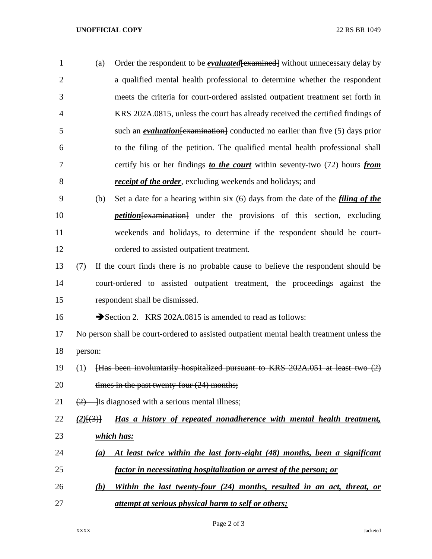## **UNOFFICIAL COPY** 22 RS BR 1049

| $\mathbf{1}$   | (a) | Order the respondent to be <i>evaluated</i> [examined] without unnecessary delay by     |
|----------------|-----|-----------------------------------------------------------------------------------------|
| 2              |     | a qualified mental health professional to determine whether the respondent              |
| 3              |     | meets the criteria for court-ordered assisted outpatient treatment set forth in         |
| $\overline{4}$ |     | KRS 202A.0815, unless the court has already received the certified findings of          |
| 5              |     | such an <i>evaluation</i> [examination] conducted no earlier than five $(5)$ days prior |
| 6              |     | to the filing of the petition. The qualified mental health professional shall           |
| $\tau$         |     | certify his or her findings to the court within seventy-two (72) hours from             |
| 8              |     | <i>receipt of the order</i> , excluding weekends and holidays; and                      |
|                |     |                                                                                         |

- (b) Set a date for a hearing within six (6) days from the date of the *filing of the petition*[examination] under the provisions of this section, excluding weekends and holidays, to determine if the respondent should be court-ordered to assisted outpatient treatment.
- (7) If the court finds there is no probable cause to believe the respondent should be court-ordered to assisted outpatient treatment, the proceedings against the respondent shall be dismissed.

16 Section 2. KRS 202A.0815 is amended to read as follows:

 No person shall be court-ordered to assisted outpatient mental health treatment unless the person:

- (1) [Has been involuntarily hospitalized pursuant to KRS 202A.051 at least two (2) 20 times in the past twenty-four (24) months;
- 21  $(2)$  Is diagnosed with a serious mental illness;
- *(2)*[(3)] *Has a history of repeated nonadherence with mental health treatment, which has:*
- *(a) At least twice within the last forty-eight (48) months, been a significant factor in necessitating hospitalization or arrest of the person; or*
- *(b) Within the last twenty-four (24) months, resulted in an act, threat, or attempt at serious physical harm to self or others;*